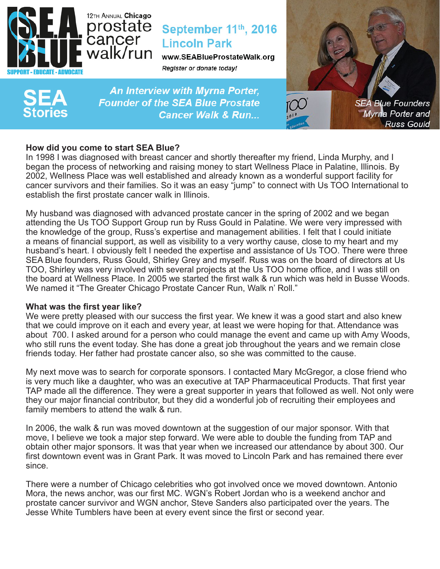

# September 11th, 2016 **Lincoln Park**

www.SEABlueProstateWalk.org Register or donate today!



An Interview with Myrna Porter, **Founder of the SEA Blue Prostate Cancer Walk & Run...** 



# **How did you come to start SEA Blue?**

In 1998 I was diagnosed with breast cancer and shortly thereafter my friend, Linda Murphy, and I began the process of networking and raising money to start Wellness Place in Palatine, Illinois. By 2002, Wellness Place was well established and already known as a wonderful support facility for cancer survivors and their families. So it was an easy "jump" to connect with Us TOO International to establish the first prostate cancer walk in Illinois.

My husband was diagnosed with advanced prostate cancer in the spring of 2002 and we began attending the Us TOO Support Group run by Russ Gould in Palatine. We were very impressed with the knowledge of the group, Russ's expertise and management abilities. I felt that I could initiate a means of financial support, as well as visibility to a very worthy cause, close to my heart and my husband's heart. I obviously felt I needed the expertise and assistance of Us TOO. There were three SEA Blue founders, Russ Gould, Shirley Grey and myself. Russ was on the board of directors at Us TOO, Shirley was very involved with several projects at the Us TOO home office, and I was still on the board at Wellness Place. In 2005 we started the first walk & run which was held in Busse Woods. We named it "The Greater Chicago Prostate Cancer Run, Walk n' Roll."

# **What was the first year like?**

We were pretty pleased with our success the first year. We knew it was a good start and also knew that we could improve on it each and every year, at least we were hoping for that. Attendance was about 700. I asked around for a person who could manage the event and came up with Amy Woods, who still runs the event today. She has done a great job throughout the years and we remain close friends today. Her father had prostate cancer also, so she was committed to the cause.

My next move was to search for corporate sponsors. I contacted Mary McGregor, a close friend who is very much like a daughter, who was an executive at TAP Pharmaceutical Products. That first year TAP made all the difference. They were a great supporter in years that followed as well. Not only were they our major financial contributor, but they did a wonderful job of recruiting their employees and family members to attend the walk & run.

In 2006, the walk & run was moved downtown at the suggestion of our major sponsor. With that move, I believe we took a major step forward. We were able to double the funding from TAP and obtain other major sponsors. It was that year when we increased our attendance by about 300. Our first downtown event was in Grant Park. It was moved to Lincoln Park and has remained there ever since.

There were a number of Chicago celebrities who got involved once we moved downtown. Antonio Mora, the news anchor, was our first MC. WGN's Robert Jordan who is a weekend anchor and prostate cancer survivor and WGN anchor, Steve Sanders also participated over the years. The Jesse White Tumblers have been at every event since the first or second year.